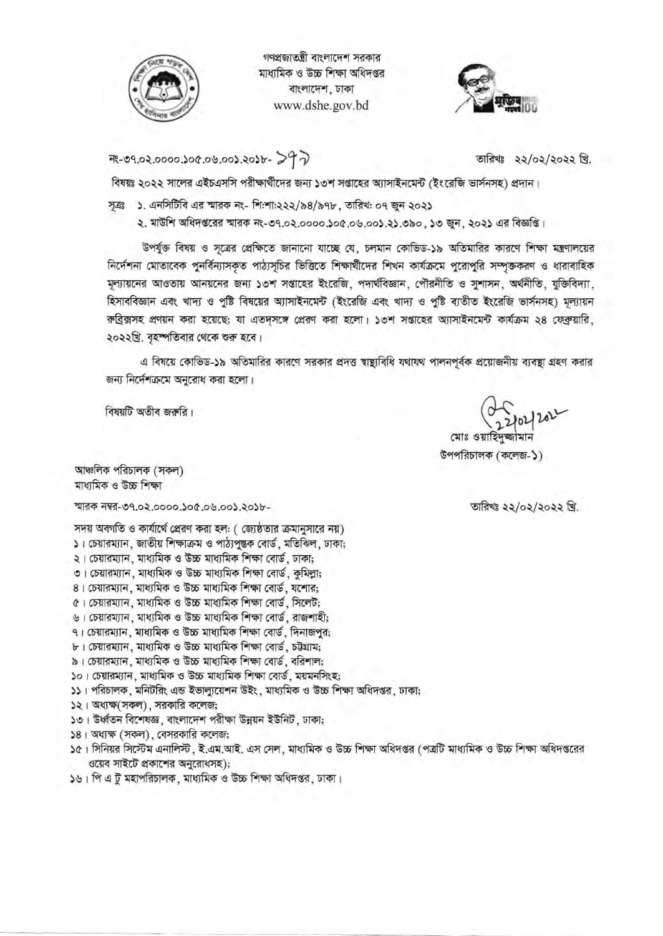

গণপ্রজাতন্ত্রী বাংলাদেশ সরকার মাধ্যমিক ও উচ্চ শিক্ষা অধিদপ্তর বাংলাদেশ, ঢাকা www.dshe.gov.bd



7 PC -0105.600.00.000.000.50.000.5

তারিখঃ ২২/০২/২০২২ খ্রি.

বিষয়ঃ ২০২২ সালের এইচএসসি পরীক্ষার্থীদের জন্য ১৩শ সপ্তাহের অ্যাসাইনমেন্ট (ইংরেজি ভার্সনসহ) প্রদান।

সূত্রঃ ১. এনসিটিবি এর স্মারক নং- শি:শা:২২২/৯৪/৯৭৮, তারিখ: ০৭ জুন ২০২১

২. মাউশি অধিদপ্তরের স্মারক নং-৩৭.০২.০০০০.১০৫.০৬.০০১.২১.৩৯০, ১৩ জুন, ২০২১ এর বিজ্ঞপ্তি।

উপর্যুক্ত বিষয় ও সূত্রের প্রেক্ষিতে জানানো যাচ্ছে যে, চলমান কোভিড-১৯ অতিমারির কারণে শিক্ষা মন্ত্রণালয়ের নির্দেশনা মোতাবেক পুনর্বিন্যাসকৃত পাঠ্যসূচির ভিত্তিতে শিক্ষার্থীদের শিখন কার্যক্রমে পুরোপুরি সম্পৃক্তকরণ ও ধারাবাহিক মূল্যায়নের আওতায় আনয়নের জন্য ১৩শ সপ্তাহের ইংরেজি, পদার্থবিজ্ঞান, পৌরনীতি ও সুশাসন, অর্থনীতি, যুক্তিবিদ্যা, হিসাববিজ্ঞান এবং খাদ্য ও পুষ্টি বিষয়ের অ্যাসাইনমেন্ট (ইংরেজি এবং খাদ্য ও পুষ্টি ব্যতীত ইংরেজি ভার্সনসহ) মূল্যায়ন রুব্রিক্সসহ প্রণয়ন করা হয়েছে; যা এতদসঙ্গে প্রেরণ করা হলো। ১৩শ সপ্তাহের অ্যাসাইনমেন্ট কার্যক্রম ২৪ ফেব্রুয়ারি, ২০২২খ্রি. বৃহস্পতিবার থেকে শুরু হবে।

এ বিষয়ে কোভিড-১৯ অতিমারির কারণে সরকার প্রদত্ত শ্বাষ্ট্যবিধি যথাযথ পালনপূর্বক প্রয়োজনীয় ব্যবস্থা গ্রহণ করার জন্য নির্দেশক্রমে অনুরোধ করা হলো।

বিষয়টি অতীব জরুরি।

তারিখঃ ২২/০২/২০২২ খ্রি.

উপপরিচালক (কলেজ-১)

আঞ্চলিক পরিচালক (সকল) মাধামিক ও উচ্চ শিক্ষা

স্মারক নম্বর-৩৭.০২.০০০০.১০৫.০৬.০০১.২০১৮-

সদয় অবগতি ও কার্যার্থে প্রেরণ করা হল: ( জ্যেষ্ঠতার ক্রমানুসারে নয়) ১। চেয়ারম্যান, জাতীয় শিক্ষাক্রম ও পাঠ্যপুস্তক বোর্ড, মতিঝিল, ঢাকা;

- ২। চেয়ারম্যান, মাধ্যমিক ও উচ্চ মাধ্যমিক শিক্ষা বোর্ড, ঢাকা;
- ৩। চেয়ারম্যান, মাধ্যমিক ও উচ্চ মাধ্যমিক শিক্ষা বোর্ড, কুমিল্লা;
- ৪। চেয়ারম্যান, মাধ্যমিক ও উচ্চ মাধ্যমিক শিক্ষা বোর্ড, যশোর;
- ৫। চেয়ারম্যান, মাধ্যমিক ও উচ্চ মাধ্যমিক শিক্ষা বোর্ড, সিলেট:
- ৬। চেয়ারম্যান, মাধ্যমিক ও উচ্চ মাধ্যমিক শিক্ষা বোর্ড, রাজশাহী:
- ৭। চেয়ারম্যান, মাধ্যমিক ও উচ্চ মাধ্যমিক শিক্ষা বোর্ড, দিনাজপুর;
- ৮। চেয়ারম্যান, মাধ্যমিক ও উচ্চ মাধ্যমিক শিক্ষা বোর্ড, চউগ্রাম;
- ৯। চেয়ারম্যান, মাধ্যমিক ও উচ্চ মাধ্যমিক শিক্ষা বোর্ড, বরিশাল;
- ১০। চেয়ারম্যান, মাধ্যমিক ও উচ্চ মাধ্যমিক শিক্ষা বোর্ড, ময়মনসিংহ;
- ১১। পরিচালক, মনিটরিং এন্ড ইভাল্যুয়েশন উইং, মাধ্যমিক ও উচ্চ শিক্ষা অধিদপ্তর, ঢাকা;
- ১২। অধ্যক্ষ(সকল), সরকারি কলেজ;
- ১৩। উর্ধ্বতন বিশেষজ্ঞ, বাংলাদেশ পরীক্ষা উন্নয়ন ইউনিট, ঢাকা;
- ১৪। অধ্যক্ষ (সকল), বেসরকারি কলেজ;
- ১৫। সিনিয়র সিস্টেম এনালিস্ট, ই.এম.আই. এস সেল, মাধ্যমিক ও উচ্চ শিক্ষা অধিদপ্তর (পত্রটি মাধ্যমিক ও উচ্চ শিক্ষা অধিদপ্তরের ওয়েব সাইটে প্রকাশের অনুরোধসহ);
- ১৬। পি এ টু মহাপরিচালক, মাধ্যমিক ও উচ্চ শিক্ষা অধিদপ্তর, ঢাকা।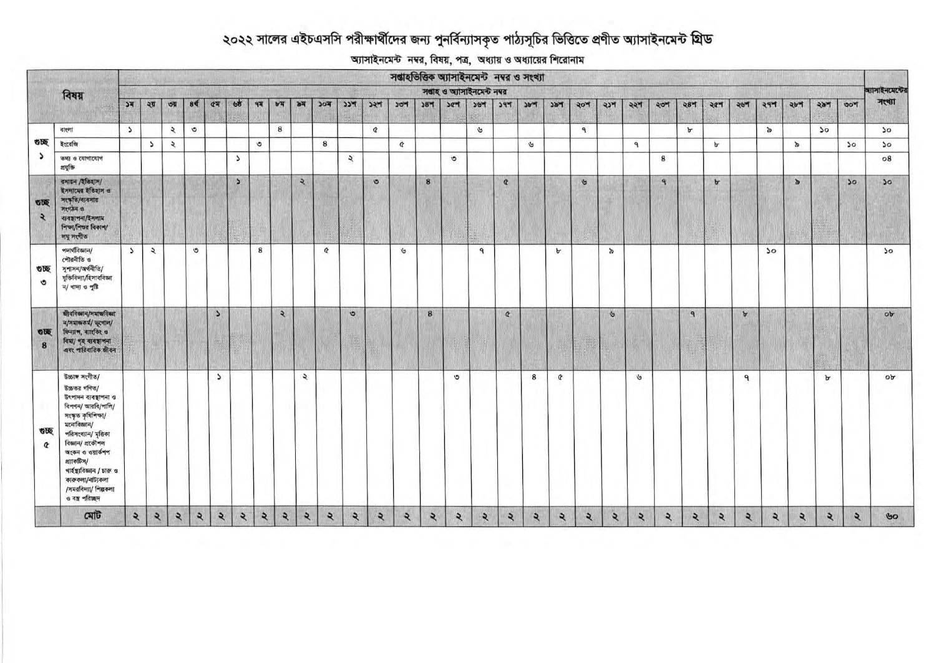## ২০২২ সালের এইচএসসি পরীক্ষার্থীদের জন্য পুনর্বিন্যাসকৃত পাঠ্যসূচির ভিত্তিতে প্রণীত অ্যাসাইনমেন্ট গ্রিড

আসাইনমেন্ট নম্বর, বিষয়, পত্র, অধ্যায় ও অধ্যায়ের শিরোনাম

|                      |                                                                                                                                                                                                                                                                                              | সম্ভাহতিত্তিক অ্যাসাইনমেন্ট নম্বর ও সংখ্যা |               |                       |                |                          |                          |                |                |                         |                         |               |          |                |                 |                 |                     |          |             |              |              |                |              |              |                 |               |              |                         |               |               |              |                 |
|----------------------|----------------------------------------------------------------------------------------------------------------------------------------------------------------------------------------------------------------------------------------------------------------------------------------------|--------------------------------------------|---------------|-----------------------|----------------|--------------------------|--------------------------|----------------|----------------|-------------------------|-------------------------|---------------|----------|----------------|-----------------|-----------------|---------------------|----------|-------------|--------------|--------------|----------------|--------------|--------------|-----------------|---------------|--------------|-------------------------|---------------|---------------|--------------|-----------------|
|                      | বিষয়                                                                                                                                                                                                                                                                                        | সপ্তাহ ও অ্যাসাইনমেন্ট নম্বর               |               |                       |                |                          |                          |                |                |                         |                         |               |          |                |                 |                 | অ্যাসাইনমেন্টের     |          |             |              |              |                |              |              |                 |               |              |                         |               |               |              |                 |
|                      |                                                                                                                                                                                                                                                                                              | K                                          | ২য়           | তয়                   | 8 <sup>q</sup> | $\alpha$                 | ७०                       | 9 <sup>7</sup> | bA             | ৯ম                      | 304                     | 554           | ১২শ      | ১৩শ            | 58 <sup>M</sup> | 50 <sup>7</sup> | 354                 | 297      | $2b$ of     | P6C          | ২০শ          | ২১শ            | ২২শ          | ২৩শ          | 28 <sup>π</sup> | ২৫শ           | ২৬শ          | ২৭শ                     | ২৮শ           | ২৯শ           | 00           | मध्या           |
|                      | বাংলা                                                                                                                                                                                                                                                                                        | $\overline{ }$                             |               | ২                     | $\circ$        |                          |                          |                | 8              |                         |                         |               | $\alpha$ |                |                 |                 | $\tilde{\sigma}$    |          |             |              | ٩            |                |              |              | $\mathbf{b}$    |               |              | $\omega$                |               | $\mathcal{L}$ |              | 50              |
| তাছ                  | ইংরেজি                                                                                                                                                                                                                                                                                       |                                            | $\mathcal{L}$ | $\tilde{\mathcal{L}}$ |                |                          |                          | $\circ$        |                |                         | 8                       |               |          | $\alpha$       |                 |                 |                     |          | $\tilde{g}$ |              |              |                | $\mathbf{q}$ |              |                 | $\mathbf{b}$  |              |                         | $\frac{1}{2}$ |               | 50           | 50              |
| C                    | তথ্য ও যোগাযোগ<br>প্ৰযুক্তি                                                                                                                                                                                                                                                                  |                                            |               |                       |                |                          | $\overline{\phantom{a}}$ |                |                |                         |                         | $\mathcal{L}$ |          |                |                 | $\circ$         |                     |          |             |              |              |                |              | 8            |                 |               |              |                         |               |               |              | $\circ$ 8       |
| 砂板<br>$\overline{z}$ | রসায়ন /ইতিহাস/<br>ইসলামের ইতিহাস ও<br>সংস্কৃতি/ব্যবসায়<br>मश्मरुन ७<br>ব্যবস্থাপনা/ইসলাম<br>শিক্ষা/শিতর বিকাশ/<br>লঘু সংগীত                                                                                                                                                                |                                            |               |                       |                |                          | $\mathbf{S}$             |                |                | $\frac{1}{2}$           |                         |               | $\circ$  |                | $\bf{8}$        |                 |                     | $\alpha$ |             |              | $\mathbf{v}$ |                |              | $\mathbf{q}$ |                 | $\,$ $\,$     |              |                         | $\rightarrow$ |               | 50           | 30 <sup>°</sup> |
| ভাছ<br>৩             | পদাৰ্থবিজ্ঞান/<br>পৌরনীতি ও<br>সুশাসন/অর্থনীতি/<br>যুক্তিবিদ্যা/হিসাববিজ্ঞা<br>$\frac{1}{4}$ বাদ্য ও পুষ্টি                                                                                                                                                                                  | $\blacktriangleright$                      | $\lambda$     |                       | $\circ$        |                          |                          | 8              |                |                         | $\alpha$                |               |          | $\mathcal{G}$  |                 |                 | $\mathbf{P}$        |          |             | $\mathbf{b}$ |              | p              |              |              |                 |               |              | $\mathcal{P}$           |               |               |              | $50^{\circ}$    |
| <b>STE</b><br>8      | জীববিজ্ঞান/সমাজবিজ্ঞা<br>ন/সমাজকৰ্ম/ ভূগোল/<br>ফিন্যান, ব্যাংকিং ও<br>বিমা/ গৃহ ব্যবস্থাপনা<br>এবং পারিবারিক জীবন                                                                                                                                                                            |                                            |               |                       |                | $\overline{\phantom{a}}$ |                          |                | $\overline{z}$ |                         |                         | $\circ$       |          |                | 8               |                 |                     | $\alpha$ |             |              |              | $\mathfrak{B}$ |              |              | $\mathbf{q}$    |               | $\mathbf b$  |                         |               |               |              | ob              |
| ভচ্ছ<br>$\alpha$     | উচ্চাঙ্গ সংগীত/<br>উচ্চতর গণিত/<br>উৎপাদন ব্যবস্থাপনা ও<br>বিপণন/ আরবি/পালি/<br>সংস্কৃত কৃষিশিকা/<br>মনোবিজ্ঞান/<br>পরিসংখ্যান/ মৃত্তিকা<br>বিজ্ঞান/ প্ৰকৌশল<br>অংকন ও ওয়ার্কশপ<br>প্র্যাকটিস/<br>গাৰ্হস্থাবিজ্ঞান / চারু ও<br>কারুকলা/নাট্যকলা<br>/সমরবিদ্যা/ শিল্পকলা<br>ও বস্ত্র পরিচ্ছদ |                                            |               |                       |                | $\overline{ }$           |                          |                |                | $\lambda$               |                         |               |          |                |                 | $\circ$         |                     |          | 8           | $\alpha$     |              |                | $\mathbf{v}$ |              |                 |               | $\mathbf{q}$ |                         |               | $\mathbf{b}$  |              | ob              |
|                      | মেট                                                                                                                                                                                                                                                                                          | $\sim$                                     | $\mathbf{z}$  | $\lambda$             | $\lambda$      | $\mathbf{z}$             | $\mathbf{R}$             | $\mathbf{z}$   | $\mathbf{z}$   | $\overline{\mathbf{z}}$ | $\overline{\mathbf{z}}$ | $\mathbf{z}$  | ২        | $\overline{z}$ | $\mathbf{z}$    | $\mathbf{R}$    | $\ddot{\mathbf{z}}$ | ২        | ২           | $\mathbf{z}$ | $\mathbf{z}$ | ২              | ২            | $\mathbf{z}$ | $\mathbf{z}$    | $\ddot{\sim}$ | ২            | $\overline{\mathbf{z}}$ | R             | ২             | $\mathbf{z}$ | 60              |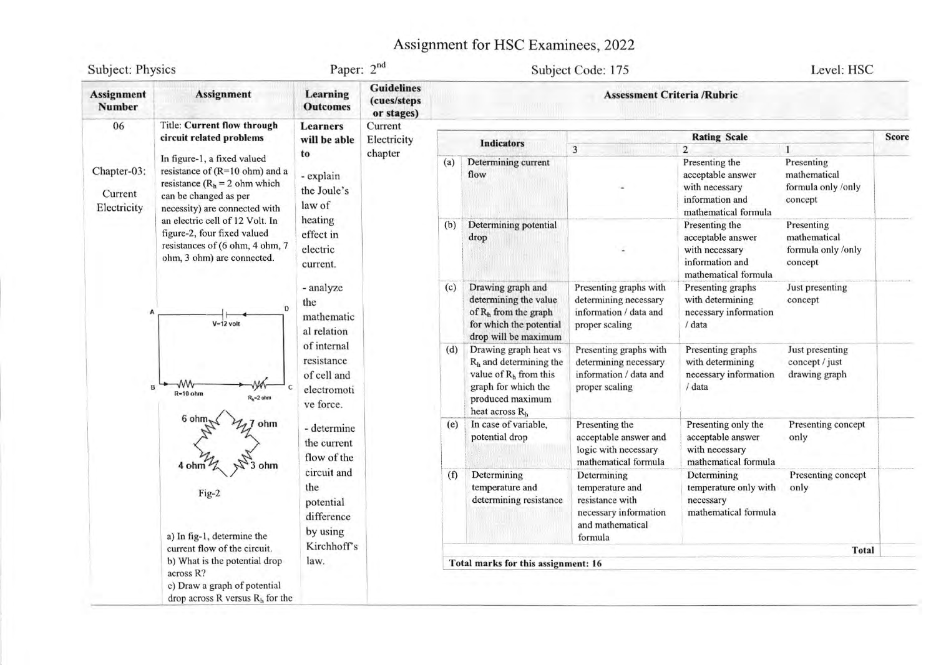## Assignment for HSC Examinees, 2022

| Subject: Physics                      |                                                                                                                                                                      | Paper: 2nd                                                                                                                                                                                                        |                                                |                                    | Subject Code: 175                                                                                                                                      | Level: HSC                                                                                                |                                                                                                  |                                                                                  |              |  |  |  |  |
|---------------------------------------|----------------------------------------------------------------------------------------------------------------------------------------------------------------------|-------------------------------------------------------------------------------------------------------------------------------------------------------------------------------------------------------------------|------------------------------------------------|------------------------------------|--------------------------------------------------------------------------------------------------------------------------------------------------------|-----------------------------------------------------------------------------------------------------------|--------------------------------------------------------------------------------------------------|----------------------------------------------------------------------------------|--------------|--|--|--|--|
| <b>Assignment</b><br><b>Number</b>    | <b>Assignment</b>                                                                                                                                                    | <b>Learning</b><br><b>Outcomes</b>                                                                                                                                                                                | <b>Guidelines</b><br>(cues/steps<br>or stages) | <b>Assessment Criteria /Rubric</b> |                                                                                                                                                        |                                                                                                           |                                                                                                  |                                                                                  |              |  |  |  |  |
| 06                                    | <b>Title: Current flow through</b>                                                                                                                                   | <b>Learners</b>                                                                                                                                                                                                   | Current                                        |                                    |                                                                                                                                                        |                                                                                                           |                                                                                                  |                                                                                  |              |  |  |  |  |
| Chapter-03:<br>Current<br>Electricity | circuit related problems                                                                                                                                             | will be able                                                                                                                                                                                                      | Electricity<br>chapter                         |                                    | <b>Indicators</b>                                                                                                                                      | $\overline{3}$                                                                                            | <b>Rating Scale</b><br>$\overline{2}$                                                            | 1                                                                                | <b>Score</b> |  |  |  |  |
|                                       | In figure-1, a fixed valued<br>resistance of $(R=10 \text{ ohm})$ and a<br>resistance ( $Rh = 2$ ohm which<br>can be changed as per<br>necessity) are connected with | to<br>- explain<br>the Joule's<br>law of<br>heating<br>effect in<br>electric<br>current.<br>- analyze<br>the<br>mathematic<br>al relation<br>of internal<br>resistance<br>of cell and<br>electromoti<br>ve force. |                                                | (a)                                | Determining current<br>flow                                                                                                                            |                                                                                                           | Presenting the<br>acceptable answer<br>with necessary<br>information and<br>mathematical formula | Presenting<br>mathematical<br>formula only /only<br>concept                      |              |  |  |  |  |
|                                       | an electric cell of 12 Volt. In<br>figure-2, four fixed valued<br>resistances of (6 ohm, 4 ohm, 7<br>ohm, 3 ohm) are connected.                                      |                                                                                                                                                                                                                   |                                                | (b)<br>(c)                         | Determining potential<br>drop                                                                                                                          |                                                                                                           | Presenting the<br>acceptable answer<br>with necessary<br>information and<br>mathematical formula | Presenting<br>mathematical<br>formula only /only<br>concept                      |              |  |  |  |  |
|                                       | D<br>$V = 12$ volt                                                                                                                                                   |                                                                                                                                                                                                                   |                                                |                                    | Drawing graph and<br>determining the value<br>of R <sub>h</sub> from the graph<br>for which the potential<br>drop will be maximum                      | Presenting graphs with<br>determining necessary<br>information / data and<br>proper scaling               | Presenting graphs<br>with determining<br>necessary information<br>/ data                         | Just presenting<br>concept                                                       |              |  |  |  |  |
|                                       | ۰M۸<br>$\mathbf{B}$<br>$R=10$ ohm<br>$R_h = 2$ ohm                                                                                                                   |                                                                                                                                                                                                                   |                                                | (d)                                | Drawing graph heat vs<br>$Rh$ and determining the<br>value of $R_h$ from this<br>graph for which the<br>produced maximum<br>heat across R <sub>h</sub> | Presenting graphs with<br>determining necessary<br>information / data and<br>proper scaling               | Presenting graphs<br>with determining<br>necessary information<br>/ data                         | Just presenting<br>concept / just<br>drawing graph<br>Presenting concept<br>only |              |  |  |  |  |
|                                       | 6 ohm<br>ohm<br>3 ohm<br>4 ohm                                                                                                                                       | - determine<br>the current<br>flow of the                                                                                                                                                                         |                                                | (e)                                | In case of variable,<br>potential drop                                                                                                                 | Presenting the<br>acceptable answer and<br>logic with necessary<br>mathematical formula                   | Presenting only the<br>acceptable answer<br>with necessary<br>mathematical formula               |                                                                                  |              |  |  |  |  |
|                                       | Fig-2<br>a) In fig-1, determine the                                                                                                                                  | circuit and<br>the<br>potential<br>difference<br>by using                                                                                                                                                         |                                                | (f)                                | Determining<br>temperature and<br>determining resistance                                                                                               | Determining<br>temperature and<br>resistance with<br>necessary information<br>and mathematical<br>formula | Determining<br>temperature only with<br>necessary<br>mathematical formula                        | Presenting concept<br>only                                                       |              |  |  |  |  |
|                                       | current flow of the circuit.                                                                                                                                         | Kirchhoff's                                                                                                                                                                                                       |                                                |                                    |                                                                                                                                                        |                                                                                                           |                                                                                                  | <b>Total</b>                                                                     |              |  |  |  |  |
|                                       | b) What is the potential drop<br>across R?<br>c) Draw a graph of potential                                                                                           | law.                                                                                                                                                                                                              |                                                |                                    | Total marks for this assignment: 16                                                                                                                    |                                                                                                           |                                                                                                  |                                                                                  |              |  |  |  |  |